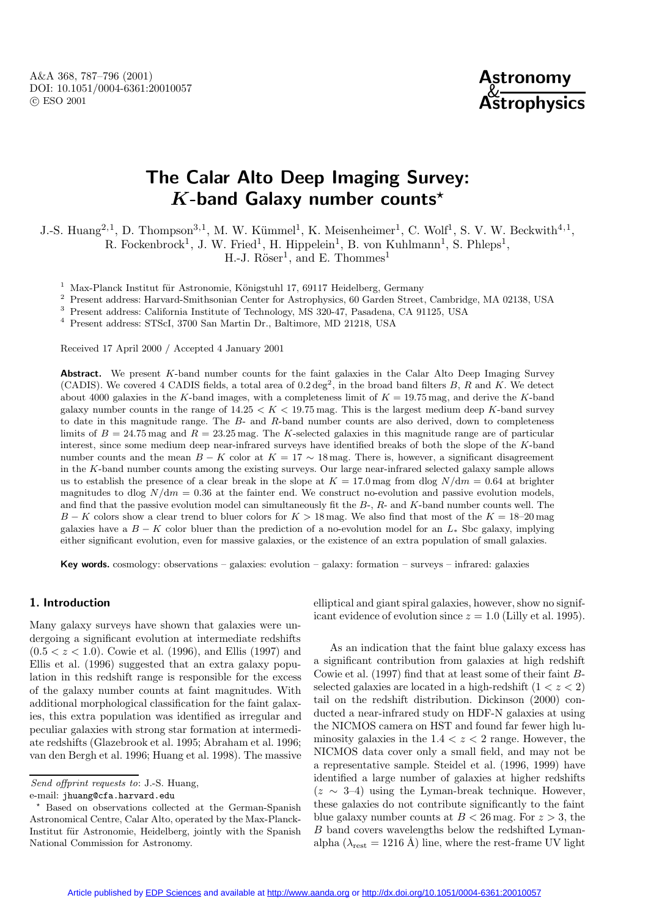A&A 368, 787–796 (2001) DOI: 10.1051/0004-6361:20010057 c ESO 2001



# **The Calar Alto Deep Imaging Survey:** *K***-band Galaxy number counts***?*

J.-S. Huang<sup>2,1</sup>, D. Thompson<sup>3,1</sup>, M. W. Kümmel<sup>1</sup>, K. Meisenheimer<sup>1</sup>, C. Wolf<sup>1</sup>, S. V. W. Beckwith<sup>4,1</sup>,

R. Fockenbrock<sup>1</sup>, J. W. Fried<sup>1</sup>, H. Hippelein<sup>1</sup>, B. von Kuhlmann<sup>1</sup>, S. Phleps<sup>1</sup>,

H.-J.  $Röser<sup>1</sup>$ , and E. Thommes<sup>1</sup>

 $1$  Max-Planck Institut für Astronomie, Königstuhl 17, 69117 Heidelberg, Germany

<sup>2</sup> Present address: Harvard-Smithsonian Center for Astrophysics, 60 Garden Street, Cambridge, MA 02138, USA

<sup>3</sup> Present address: California Institute of Technology, MS 320-47, Pasadena, CA 91125, USA

<sup>4</sup> Present address: STScI, 3700 San Martin Dr., Baltimore, MD 21218, USA

Received 17 April 2000 / Accepted 4 January 2001

Abstract. We present K-band number counts for the faint galaxies in the Calar Alto Deep Imaging Survey (CADIS). We covered 4 CADIS fields, a total area of  $0.2 \text{ deg}^2$ , in the broad band filters B, R and K. We detect about 4000 galaxies in the K-band images, with a completeness limit of  $K = 19.75$  mag, and derive the K-band galaxy number counts in the range of  $14.25 < K < 19.75$  mag. This is the largest medium deep K-band survey to date in this magnitude range. The B- and R-band number counts are also derived, down to completeness limits of  $B = 24.75$  mag and  $R = 23.25$  mag. The K-selected galaxies in this magnitude range are of particular interest, since some medium deep near-infrared surveys have identified breaks of both the slope of the K-band number counts and the mean  $B - K$  color at  $K = 17 \sim 18$  mag. There is, however, a significant disagreement in the K-band number counts among the existing surveys. Our large near-infrared selected galaxy sample allows us to establish the presence of a clear break in the slope at  $K = 17.0$  mag from dlog  $N/dm = 0.64$  at brighter magnitudes to dlog  $N/dm = 0.36$  at the fainter end. We construct no-evolution and passive evolution models, and find that the passive evolution model can simultaneously fit the  $B_7$ ,  $R_7$  and  $K_7$ -band number counts well. The B − K colors show a clear trend to bluer colors for  $K > 18$  mag. We also find that most of the  $K = 18-20$  mag galaxies have a  $B - K$  color bluer than the prediction of a no-evolution model for an  $L_{*}$  Sbc galaxy, implying either significant evolution, even for massive galaxies, or the existence of an extra population of small galaxies.

**Key words.** cosmology: observations – galaxies: evolution – galaxy: formation – surveys – infrared: galaxies

## **1. Introduction**

Many galaxy surveys have shown that galaxies were undergoing a significant evolution at intermediate redshifts  $(0.5 < z < 1.0)$ . Cowie et al. (1996), and Ellis (1997) and Ellis et al. (1996) suggested that an extra galaxy population in this redshift range is responsible for the excess of the galaxy number counts at faint magnitudes. With additional morphological classification for the faint galaxies, this extra population was identified as irregular and peculiar galaxies with strong star formation at intermediate redshifts (Glazebrook et al. 1995; Abraham et al. 1996; van den Bergh et al. 1996; Huang et al. 1998). The massive

e-mail: jhuang@cfa.harvard.edu

elliptical and giant spiral galaxies, however, show no significant evidence of evolution since  $z = 1.0$  (Lilly et al. 1995).

As an indication that the faint blue galaxy excess has a significant contribution from galaxies at high redshift Cowie et al. (1997) find that at least some of their faint Bselected galaxies are located in a high-redshift  $(1 < z < 2)$ tail on the redshift distribution. Dickinson (2000) conducted a near-infrared study on HDF-N galaxies at using the NICMOS camera on HST and found far fewer high luminosity galaxies in the  $1.4 < z < 2$  range. However, the NICMOS data cover only a small field, and may not be a representative sample. Steidel et al. (1996, 1999) have identified a large number of galaxies at higher redshifts  $(z \sim 3-4)$  using the Lyman-break technique. However, these galaxies do not contribute significantly to the faint blue galaxy number counts at  $B < 26$  mag. For  $z > 3$ , the B band covers wavelengths below the redshifted Lymanalpha ( $\lambda_{\text{rest}} = 1216 \text{ Å}$ ) line, where the rest-frame UV light

Send offprint requests to: J.-S. Huang,

<sup>?</sup> Based on observations collected at the German-Spanish Astronomical Centre, Calar Alto, operated by the Max-Planck-Institut für Astronomie, Heidelberg, jointly with the Spanish National Commission for Astronomy.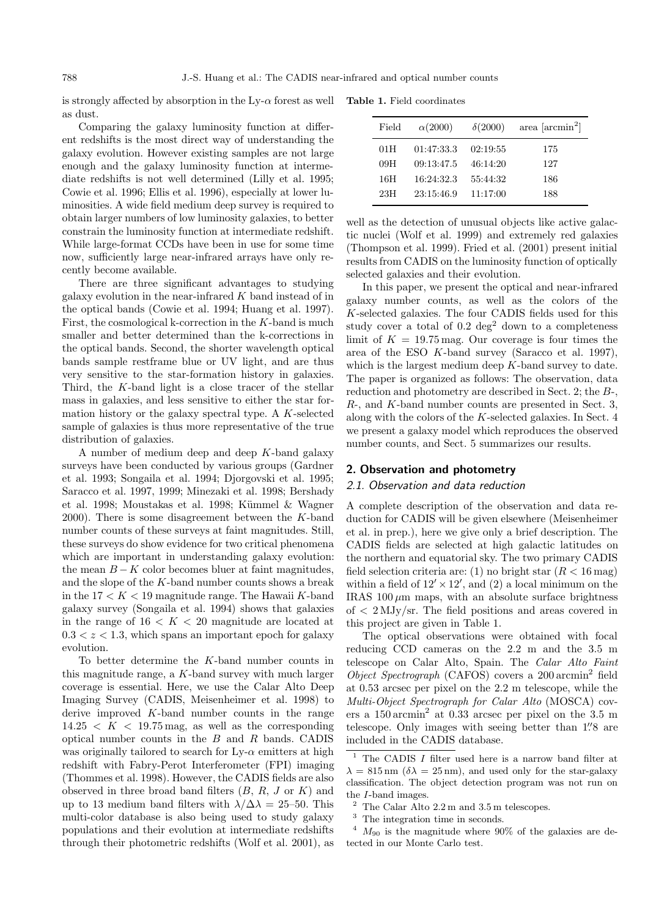is strongly affected by absorption in the  $Ly-\alpha$  forest as well as dust.

Comparing the galaxy luminosity function at different redshifts is the most direct way of understanding the galaxy evolution. However existing samples are not large enough and the galaxy luminosity function at intermediate redshifts is not well determined (Lilly et al. 1995; Cowie et al. 1996; Ellis et al. 1996), especially at lower luminosities. A wide field medium deep survey is required to obtain larger numbers of low luminosity galaxies, to better constrain the luminosity function at intermediate redshift. While large-format CCDs have been in use for some time now, sufficiently large near-infrared arrays have only recently become available.

There are three significant advantages to studying galaxy evolution in the near-infrared  $K$  band instead of in the optical bands (Cowie et al. 1994; Huang et al. 1997). First, the cosmological k-correction in the K-band is much smaller and better determined than the k-corrections in the optical bands. Second, the shorter wavelength optical bands sample restframe blue or UV light, and are thus very sensitive to the star-formation history in galaxies. Third, the K-band light is a close tracer of the stellar mass in galaxies, and less sensitive to either the star formation history or the galaxy spectral type. A K-selected sample of galaxies is thus more representative of the true distribution of galaxies.

A number of medium deep and deep K-band galaxy surveys have been conducted by various groups (Gardner et al. 1993; Songaila et al. 1994; Djorgovski et al. 1995; Saracco et al. 1997, 1999; Minezaki et al. 1998; Bershady et al. 1998; Moustakas et al. 1998; Kümmel & Wagner  $2000$ . There is some disagreement between the K-band number counts of these surveys at faint magnitudes. Still, these surveys do show evidence for two critical phenomena which are important in understanding galaxy evolution: the mean  $B - K$  color becomes bluer at faint magnitudes, and the slope of the K-band number counts shows a break in the  $17 < K < 19$  magnitude range. The Hawaii K-band galaxy survey (Songaila et al. 1994) shows that galaxies in the range of  $16 < K < 20$  magnitude are located at  $0.3 < z < 1.3$ , which spans an important epoch for galaxy evolution.

To better determine the K-band number counts in this magnitude range, a K-band survey with much larger coverage is essential. Here, we use the Calar Alto Deep Imaging Survey (CADIS, Meisenheimer et al. 1998) to derive improved  $K$ -band number counts in the range  $14.25 < K < 19.75$  mag, as well as the corresponding optical number counts in the B and R bands. CADIS was originally tailored to search for  $Ly-\alpha$  emitters at high redshift with Fabry-Perot Interferometer (FPI) imaging (Thommes et al. 1998). However, the CADIS fields are also observed in three broad band filters  $(B, R, J \text{ or } K)$  and up to 13 medium band filters with  $\lambda/\Delta\lambda = 25$ –50. This multi-color database is also being used to study galaxy populations and their evolution at intermediate redshifts through their photometric redshifts (Wolf et al. 2001), as

**Table 1.** Field coordinates

| Field | $\alpha(2000)$ | $\delta(2000)$ | area $\left[\arcsin^2\right]$ |
|-------|----------------|----------------|-------------------------------|
| 01 H  | 01:47:33.3     | 02:19:55       | 175                           |
| 09H   | 09:13:47.5     | 46:14:20       | 127                           |
| 16H   | 16:24:32.3     | 55:44:32       | 186                           |
| 23H   | 23:15:46.9     | 11:17:00       | 188                           |
|       |                |                |                               |

well as the detection of unusual objects like active galactic nuclei (Wolf et al. 1999) and extremely red galaxies (Thompson et al. 1999). Fried et al. (2001) present initial results from CADIS on the luminosity function of optically selected galaxies and their evolution.

In this paper, we present the optical and near-infrared galaxy number counts, as well as the colors of the K-selected galaxies. The four CADIS fields used for this study cover a total of  $0.2 \text{ deg}^2$  down to a completeness limit of  $K = 19.75$  mag. Our coverage is four times the area of the ESO K-band survey (Saracco et al. 1997), which is the largest medium deep K-band survey to date. The paper is organized as follows: The observation, data reduction and photometry are described in Sect. 2; the B-, R-, and K-band number counts are presented in Sect. 3, along with the colors of the K-selected galaxies. In Sect. 4 we present a galaxy model which reproduces the observed number counts, and Sect. 5 summarizes our results.

#### **2. Observation and photometry**

## 2.1. Observation and data reduction

A complete description of the observation and data reduction for CADIS will be given elsewhere (Meisenheimer et al. in prep.), here we give only a brief description. The CADIS fields are selected at high galactic latitudes on the northern and equatorial sky. The two primary CADIS field selection criteria are: (1) no bright star  $(R < 16 \,\text{mag})$ within a field of  $12' \times 12'$ , and (2) a local minimum on the IRAS 100 $\mu$ m maps, with an absolute surface brightness of < 2 MJy/sr. The field positions and areas covered in this project are given in Table 1.

The optical observations were obtained with focal reducing CCD cameras on the 2.2 m and the 3.5 m telescope on Calar Alto, Spain. The Calar Alto Faint Object Spectrograph (CAFOS) covers a 200 arcmin<sup>2</sup> field at 0.53 arcsec per pixel on the 2.2 m telescope, while the Multi-Object Spectrograph for Calar Alto (MOSCA) covers a 150 arcmin<sup>2</sup> at 0.33 arcsec per pixel on the 3.5 m telescope. Only images with seeing better than 1.'8 are included in the CADIS database.

The CADIS I filter used here is a narrow band filter at  $\lambda = 815 \,\mathrm{nm}$  ( $\delta \lambda = 25 \,\mathrm{nm}$ ), and used only for the star-galaxy classification. The object detection program was not run on the I-band images.

 $2$  The Calar Alto  $2.2 \text{ m}$  and  $3.5 \text{ m}$  telescopes.

<sup>3</sup> The integration time in seconds.

 $4 M_{90}$  is the magnitude where 90% of the galaxies are detected in our Monte Carlo test.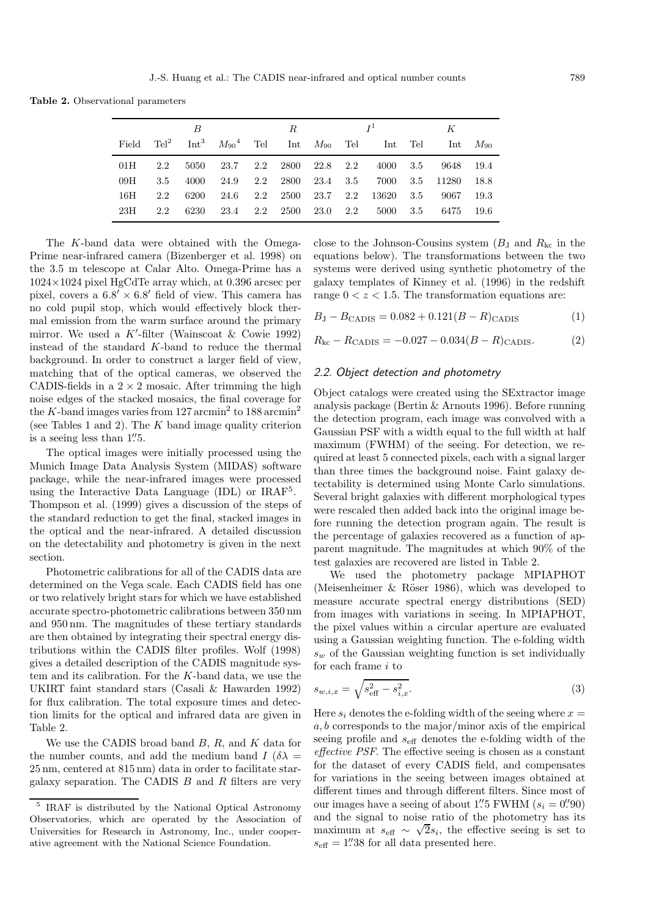**Table 2.** Observational parameters

|       |     | B    |                                                |     | R.       |          |     |                          |     | K     |          |
|-------|-----|------|------------------------------------------------|-----|----------|----------|-----|--------------------------|-----|-------|----------|
| Field |     |      | $\text{Tel}^2$ Int <sup>3</sup> $M_{90}^4$ Tel |     |          |          |     | Int $M_{90}$ Tel Int Tel |     | Int   | $M_{90}$ |
| 01H   | 2.2 | 5050 | 23.7                                           |     | 2.2 2800 | 22.8 2.2 |     | 4000                     | 3.5 | 9648  | 19.4     |
| 09H   | 3.5 | 4000 | 24.9                                           | 2.2 | 2800     | 23.4     | 3.5 | 7000                     | 3.5 | 11280 | 18.8     |
| 16H   | 2.2 | 6200 | 24.6                                           |     | 2.2 2500 | 23.7     | 2.2 | 13620                    | 3.5 | 9067  | 19.3     |
| 23H   | 2.2 | 6230 | 23.4                                           |     | 2.2 2500 | 23.0     | 2.2 | 5000                     | 3.5 | 6475  | 19.6     |

The K-band data were obtained with the Omega-Prime near-infrared camera (Bizenberger et al. 1998) on the 3.5 m telescope at Calar Alto. Omega-Prime has a  $1024\times1024$  pixel HgCdTe array which, at 0.396 arcsec per pixel, covers a  $6.8' \times 6.8'$  field of view. This camera has no cold pupil stop, which would effectively block thermal emission from the warm surface around the primary mirror. We used a K'-filter (Wainscoat & Cowie 1992) instead of the standard K-band to reduce the thermal background. In order to construct a larger field of view, matching that of the optical cameras, we observed the CADIS-fields in a  $2 \times 2$  mosaic. After trimming the high noise edges of the stacked mosaics, the final coverage for the K-band images varies from 127 arcmin<sup>2</sup> to 188 arcmin<sup>2</sup> (see Tables 1 and 2). The  $K$  band image quality criterion is a seeing less than  $1\rlap{.}^{\prime\prime}5$ .

The optical images were initially processed using the Munich Image Data Analysis System (MIDAS) software package, while the near-infrared images were processed using the Interactive Data Language  $(IDL)$  or  $IRAF<sup>5</sup>$ . Thompson et al. (1999) gives a discussion of the steps of the standard reduction to get the final, stacked images in the optical and the near-infrared. A detailed discussion on the detectability and photometry is given in the next section.

Photometric calibrations for all of the CADIS data are determined on the Vega scale. Each CADIS field has one or two relatively bright stars for which we have established accurate spectro-photometric calibrations between 350 nm and 950 nm. The magnitudes of these tertiary standards are then obtained by integrating their spectral energy distributions within the CADIS filter profiles. Wolf (1998) gives a detailed description of the CADIS magnitude system and its calibration. For the K-band data, we use the UKIRT faint standard stars (Casali & Hawarden 1992) for flux calibration. The total exposure times and detection limits for the optical and infrared data are given in Table 2.

We use the CADIS broad band  $B, R$ , and  $K$  data for the number counts, and add the medium band  $I(\delta \lambda =$ 25 nm, centered at 815 nm) data in order to facilitate stargalaxy separation. The CADIS  $B$  and  $R$  filters are very close to the Johnson-Cousins system  $(B_J \text{ and } R_{kc} \text{ in the})$ equations below). The transformations between the two systems were derived using synthetic photometry of the galaxy templates of Kinney et al. (1996) in the redshift range  $0 < z < 1.5$ . The transformation equations are:

$$
B_{\rm J} - B_{\rm CADIS} = 0.082 + 0.121(B - R)_{\rm CADIS} \tag{1}
$$

$$
R_{\rm kc} - R_{\rm CADIS} = -0.027 - 0.034(B - R)_{\rm CADIS}.\tag{2}
$$

#### 2.2. Object detection and photometry

Object catalogs were created using the SExtractor image analysis package (Bertin & Arnouts 1996). Before running the detection program, each image was convolved with a Gaussian PSF with a width equal to the full width at half maximum (FWHM) of the seeing. For detection, we required at least 5 connected pixels, each with a signal larger than three times the background noise. Faint galaxy detectability is determined using Monte Carlo simulations. Several bright galaxies with different morphological types were rescaled then added back into the original image before running the detection program again. The result is the percentage of galaxies recovered as a function of apparent magnitude. The magnitudes at which 90% of the test galaxies are recovered are listed in Table 2.

We used the photometry package MPIAPHOT (Meisenheimer  $\&$  Röser 1986), which was developed to measure accurate spectral energy distributions (SED) from images with variations in seeing. In MPIAPHOT, the pixel values within a circular aperture are evaluated using a Gaussian weighting function. The e-folding width  $s_w$  of the Gaussian weighting function is set individually for each frame  $i$  to

$$
s_{w,i,x} = \sqrt{s_{\text{eff}}^2 - s_{i,x}^2}.\tag{3}
$$

Here  $s_i$  denotes the e-folding width of the seeing where  $x =$  $a, b$  corresponds to the major/minor axis of the empirical seeing profile and  $s_{\text{eff}}$  denotes the e-folding width of the effective PSF. The effective seeing is chosen as a constant for the dataset of every CADIS field, and compensates for variations in the seeing between images obtained at different times and through different filters. Since most of our images have a seeing of about 1.'' S FWHM  $(s_i = 0$ '' 90) and the signal to noise ratio of the photometry has its maximum at  $s_{\text{eff}} \sim \sqrt{2} s_i$ , the effective seeing is set to  $s_{\text{eff}} = 1.^{\prime\prime}38$  for all data presented here.

<sup>5</sup> IRAF is distributed by the National Optical Astronomy Observatories, which are operated by the Association of Universities for Research in Astronomy, Inc., under cooperative agreement with the National Science Foundation.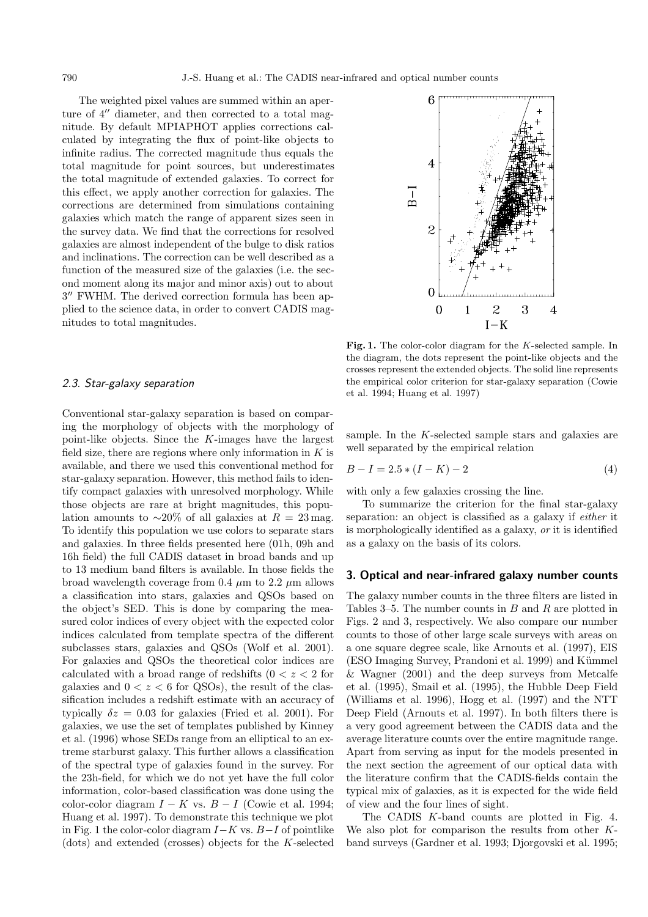The weighted pixel values are summed within an aperture of  $4^{\prime\prime}$  diameter, and then corrected to a total magnitude. By default MPIAPHOT applies corrections calculated by integrating the flux of point-like objects to infinite radius. The corrected magnitude thus equals the total magnitude for point sources, but underestimates the total magnitude of extended galaxies. To correct for this effect, we apply another correction for galaxies. The corrections are determined from simulations containing galaxies which match the range of apparent sizes seen in the survey data. We find that the corrections for resolved galaxies are almost independent of the bulge to disk ratios and inclinations. The correction can be well described as a function of the measured size of the galaxies (i.e. the second moment along its major and minor axis) out to about  $3''$  FWHM. The derived correction formula has been applied to the science data, in order to convert CADIS magnitudes to total magnitudes.

#### 2.3. Star-galaxy separation

Conventional star-galaxy separation is based on comparing the morphology of objects with the morphology of point-like objects. Since the K-images have the largest field size, there are regions where only information in  $K$  is available, and there we used this conventional method for star-galaxy separation. However, this method fails to identify compact galaxies with unresolved morphology. While those objects are rare at bright magnitudes, this population amounts to ~20% of all galaxies at  $R = 23$  mag. To identify this population we use colors to separate stars and galaxies. In three fields presented here (01h, 09h and 16h field) the full CADIS dataset in broad bands and up to 13 medium band filters is available. In those fields the broad wavelength coverage from 0.4  $\mu$ m to 2.2  $\mu$ m allows a classification into stars, galaxies and QSOs based on the object's SED. This is done by comparing the measured color indices of every object with the expected color indices calculated from template spectra of the different subclasses stars, galaxies and QSOs (Wolf et al. 2001). For galaxies and QSOs the theoretical color indices are calculated with a broad range of redshifts  $(0 < z < 2$  for galaxies and  $0 < z < 6$  for QSOs), the result of the classification includes a redshift estimate with an accuracy of typically  $\delta z = 0.03$  for galaxies (Fried et al. 2001). For galaxies, we use the set of templates published by Kinney et al. (1996) whose SEDs range from an elliptical to an extreme starburst galaxy. This further allows a classification of the spectral type of galaxies found in the survey. For the 23h-field, for which we do not yet have the full color information, color-based classification was done using the color-color diagram  $I - K$  vs.  $B - I$  (Cowie et al. 1994; Huang et al. 1997). To demonstrate this technique we plot in Fig. 1 the color-color diagram  $I-K$  vs.  $B-I$  of pointlike  $(dots)$  and extended (crosses) objects for the K-selected



**Fig. 1.** The color-color diagram for the K-selected sample. In the diagram, the dots represent the point-like objects and the crosses represent the extended objects. The solid line represents the empirical color criterion for star-galaxy separation (Cowie et al. 1994; Huang et al. 1997)

sample. In the  $K$ -selected sample stars and galaxies are well separated by the empirical relation

$$
B - I = 2.5 * (I - K) - 2 \tag{4}
$$

with only a few galaxies crossing the line.

To summarize the criterion for the final star-galaxy separation: an object is classified as a galaxy if either it is morphologically identified as a galaxy, or it is identified as a galaxy on the basis of its colors.

#### **3. Optical and near-infrared galaxy number counts**

The galaxy number counts in the three filters are listed in Tables 3–5. The number counts in  $B$  and  $R$  are plotted in Figs. 2 and 3, respectively. We also compare our number counts to those of other large scale surveys with areas on a one square degree scale, like Arnouts et al. (1997), EIS (ESO Imaging Survey, Prandoni et al. 1999) and Kümmel & Wagner (2001) and the deep surveys from Metcalfe et al. (1995), Smail et al. (1995), the Hubble Deep Field (Williams et al. 1996), Hogg et al. (1997) and the NTT Deep Field (Arnouts et al. 1997). In both filters there is a very good agreement between the CADIS data and the average literature counts over the entire magnitude range. Apart from serving as input for the models presented in the next section the agreement of our optical data with the literature confirm that the CADIS-fields contain the typical mix of galaxies, as it is expected for the wide field of view and the four lines of sight.

The CADIS K-band counts are plotted in Fig. 4. We also plot for comparison the results from other Kband surveys (Gardner et al. 1993; Djorgovski et al. 1995;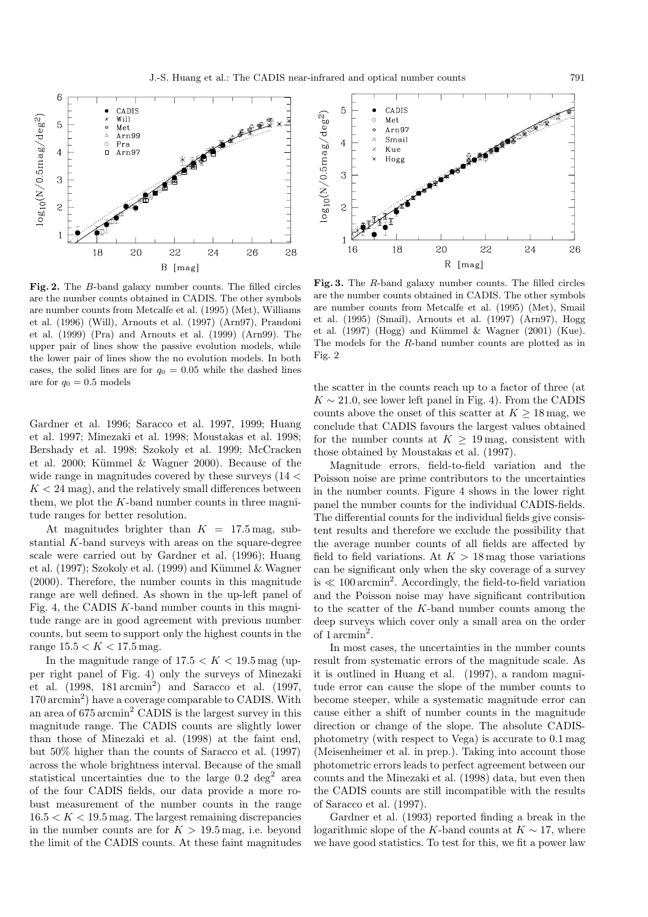

**Fig. 2.** The B-band galaxy number counts. The filled circles are the number counts obtained in CADIS. The other symbols are number counts from Metcalfe et al. (1995) (Met), Williams et al. (1996) (Will), Arnouts et al. (1997) (Arn97), Prandoni et al. (1999) (Pra) and Arnouts et al. (1999) (Arn99). The upper pair of lines show the passive evolution models, while the lower pair of lines show the no evolution models. In both cases, the solid lines are for  $q_0 = 0.05$  while the dashed lines are for  $q_0 = 0.5$  models

Gardner et al. 1996; Saracco et al. 1997, 1999; Huang et al. 1997; Minezaki et al. 1998; Moustakas et al. 1998; Bershady et al. 1998; Szokoly et al. 1999; McCracken et al. 2000; Kümmel  $\&$  Wagner 2000). Because of the wide range in magnitudes covered by these surveys  $(14 <$  $K < 24$  mag), and the relatively small differences between them, we plot the  $K$ -band number counts in three magnitude ranges for better resolution.

At magnitudes brighter than  $K = 17.5$  mag, substantial K-band surveys with areas on the square-degree scale were carried out by Gardner et al. (1996); Huang et al. (1997); Szokoly et al. (1999) and Kümmel  $&$  Wagner (2000). Therefore, the number counts in this magnitude range are well defined. As shown in the up-left panel of Fig. 4, the CADIS K-band number counts in this magnitude range are in good agreement with previous number counts, but seem to support only the highest counts in the range  $15.5 < K < 17.5$  mag.

In the magnitude range of  $17.5 < K < 19.5$  mag (upper right panel of Fig. 4) only the surveys of Minezaki et al.  $(1998, 181 \arcsin^2)$  and Saracco et al.  $(1997,$  $170 \,\mathrm{arcmin}^2$  have a coverage comparable to CADIS. With an area of 675 arcmin<sup>2</sup> CADIS is the largest survey in this magnitude range. The CADIS counts are slightly lower than those of Minezaki et al. (1998) at the faint end, but 50% higher than the counts of Saracco et al. (1997) across the whole brightness interval. Because of the small statistical uncertainties due to the large  $0.2 \text{ deg}^2$  area of the four CADIS fields, our data provide a more robust measurement of the number counts in the range  $16.5 < K < 19.5$  mag. The largest remaining discrepancies in the number counts are for  $K > 19.5$  mag, i.e. beyond the limit of the CADIS counts. At these faint magnitudes



**Fig. 3.** The R-band galaxy number counts. The filled circles are the number counts obtained in CADIS. The other symbols are number counts from Metcalfe et al. (1995) (Met), Smail et al. (1995) (Smail), Arnouts et al. (1997) (Arn97), Hogg et al.  $(1997)$  (Hogg) and Kümmel & Wagner  $(2001)$  (Kue). The models for the R-band number counts are plotted as in Fig. 2

the scatter in the counts reach up to a factor of three (at  $K \sim 21.0$ , see lower left panel in Fig. 4). From the CADIS counts above the onset of this scatter at  $K \geq 18$  mag, we conclude that CADIS favours the largest values obtained for the number counts at  $K > 19$  mag, consistent with those obtained by Moustakas et al. (1997).

Magnitude errors, field-to-field variation and the Poisson noise are prime contributors to the uncertainties in the number counts. Figure 4 shows in the lower right panel the number counts for the individual CADIS-fields. The differential counts for the individual fields give consistent results and therefore we exclude the possibility that the average number counts of all fields are affected by field to field variations. At  $K > 18$  mag those variations can be significant only when the sky coverage of a survey is  $\ll 100$  arcmin<sup>2</sup>. Accordingly, the field-to-field variation and the Poisson noise may have significant contribution to the scatter of the  $K$ -band number counts among the deep surveys which cover only a small area on the order of 1 arcmin<sup>2</sup>.

In most cases, the uncertainties in the number counts result from systematic errors of the magnitude scale. As it is outlined in Huang et al. (1997), a random magnitude error can cause the slope of the number counts to become steeper, while a systematic magnitude error can cause either a shift of number counts in the magnitude direction or change of the slope. The absolute CADISphotometry (with respect to Vega) is accurate to 0.1 mag (Meisenheimer et al. in prep.). Taking into account those photometric errors leads to perfect agreement between our counts and the Minezaki et al. (1998) data, but even then the CADIS counts are still incompatible with the results of Saracco et al. (1997).

Gardner et al. (1993) reported finding a break in the logarithmic slope of the K-band counts at  $K \sim 17$ , where we have good statistics. To test for this, we fit a power law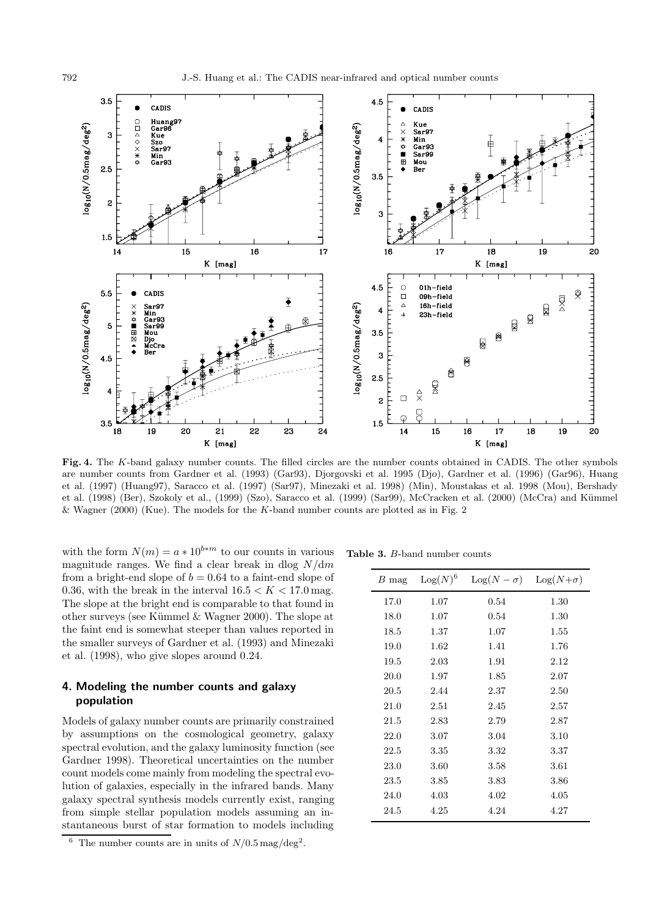

**Fig. 4.** The K-band galaxy number counts. The filled circles are the number counts obtained in CADIS. The other symbols are number counts from Gardner et al. (1993) (Gar93), Djorgovski et al. 1995 (Djo), Gardner et al. (1996) (Gar96), Huang et al. (1997) (Huang97), Saracco et al. (1997) (Sar97), Minezaki et al. 1998) (Min), Moustakas et al. 1998 (Mou), Bershady et al. (1998) (Ber), Szokoly et al., (1999) (Szo), Saracco et al. (1999) (Sar99), McCracken et al. (2000) (McCra) and Kümmel & Wagner (2000) (Kue). The models for the K-band number counts are plotted as in Fig. 2

with the form  $N(m) = a * 10^{b*m}$  to our counts in various magnitude ranges. We find a clear break in dlog  $N/dm$ from a bright-end slope of  $b = 0.64$  to a faint-end slope of 0.36, with the break in the interval  $16.5 < K < 17.0$  mag. The slope at the bright end is comparable to that found in other surveys (see Kümmel  $&$  Wagner 2000). The slope at the faint end is somewhat steeper than values reported in the smaller surveys of Gardner et al. (1993) and Minezaki et al. (1998), who give slopes around 0.24.

# **4. Modeling the number counts and galaxy population**

Models of galaxy number counts are primarily constrained by assumptions on the cosmological geometry, galaxy spectral evolution, and the galaxy luminosity function (see Gardner 1998). Theoretical uncertainties on the number count models come mainly from modeling the spectral evolution of galaxies, especially in the infrared bands. Many galaxy spectral synthesis models currently exist, ranging from simple stellar population models assuming an instantaneous burst of star formation to models including

**Table 3.** B-band number counts

| $B$ mag | $Log(N)^6$ | $\text{Log}(N-\sigma)$ | $\text{Log}(N+\sigma)$ |
|---------|------------|------------------------|------------------------|
| 17.0    | 1.07       | 0.54                   | 1.30                   |
| 18.0    | 1.07       | 0.54                   | 1.30                   |
| 18.5    | 1.37       | 1.07                   | 1.55                   |
| 19.0    | 1.62       | 1.41                   | 1.76                   |
| 19.5    | 2.03       | 1.91                   | 2.12                   |
| 20.0    | 1.97       | 1.85                   | 2.07                   |
| 20.5    | 2.44       | 2.37                   | 2.50                   |
| 21.0    | 2.51       | 2.45                   | 2.57                   |
| 21.5    | 2.83       | 2.79                   | 2.87                   |
| 22.0    | 3.07       | 3.04                   | 3.10                   |
| 22.5    | 3.35       | 3.32                   | 3.37                   |
| 23.0    | 3.60       | 3.58                   | 3.61                   |
| 23.5    | 3.85       | 3.83                   | 3.86                   |
| 24.0    | 4.03       | 4.02                   | 4.05                   |
| 24.5    | 4.25       | 4.24                   | 4.27                   |
|         |            |                        |                        |

The number counts are in units of  $N/0.5$  mag/deg<sup>2</sup>.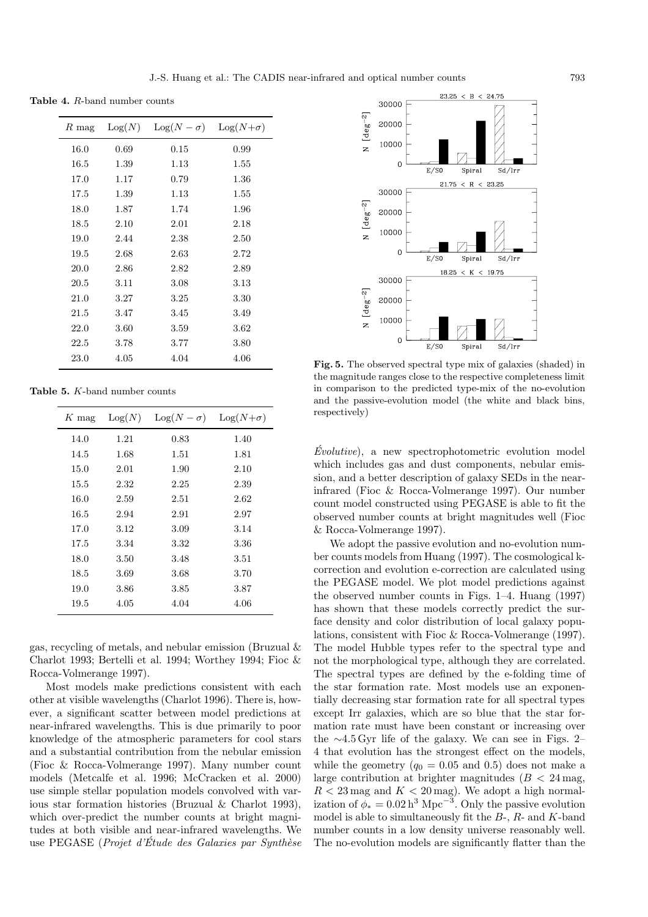**Table 4.** R-band number counts

| $R$ mag | Log(N) | $Log(N - \sigma)$ | $\text{Log}(N+\sigma)$ |
|---------|--------|-------------------|------------------------|
| 16.0    | 0.69   | $0.15\,$          | 0.99                   |
| 16.5    | 1.39   | 1.13              | 1.55                   |
| 17.0    | 1.17   | 0.79              | 1.36                   |
| 17.5    | 1.39   | 1.13              | 1.55                   |
| 18.0    | 1.87   | 1.74              | 1.96                   |
| 18.5    | 2.10   | 2.01              | 2.18                   |
| 19.0    | 2.44   | 2.38              | 2.50                   |
| 19.5    | 2.68   | $2.63\,$          | 2.72                   |
| 20.0    | 2.86   | 2.82              | 2.89                   |
| 20.5    | 3.11   | 3.08              | 3.13                   |
| 21.0    | 3.27   | 3.25              | 3.30                   |
| 21.5    | 3.47   | 3.45              | 3.49                   |
| 22.0    | 3.60   | 3.59              | 3.62                   |
| 22.5    | 3.78   | 3.77              | 3.80                   |
| 23.0    | 4.05   | 4.04              | 4.06                   |
|         |        |                   |                        |

**Table 5.** K-band number counts

| $K$ mag | Log(N) | $\text{Log}(N-\sigma)$ | $\text{Log}(N+\sigma)$ |
|---------|--------|------------------------|------------------------|
| 14.0    | 1.21   | 0.83                   | 1.40                   |
| 14.5    | 1.68   | 1.51                   | 1.81                   |
| 15.0    | 2.01   | 1.90                   | 2.10                   |
| 15.5    | 2.32   | 2.25                   | 2.39                   |
| 16.0    | 2.59   | 2.51                   | 2.62                   |
| 16.5    | 2.94   | 2.91                   | 2.97                   |
| 17.0    | 3.12   | 3.09                   | 3.14                   |
| 17.5    | 3.34   | 3.32                   | 3.36                   |
| 18.0    | 3.50   | 3.48                   | 3.51                   |
| 18.5    | 3.69   | 3.68                   | 3.70                   |
| 19.0    | 3.86   | 3.85                   | 3.87                   |
| 19.5    | 4.05   | 4.04                   | 4.06                   |

gas, recycling of metals, and nebular emission (Bruzual & Charlot 1993; Bertelli et al. 1994; Worthey 1994; Fioc & Rocca-Volmerange 1997).

Most models make predictions consistent with each other at visible wavelengths (Charlot 1996). There is, however, a significant scatter between model predictions at near-infrared wavelengths. This is due primarily to poor knowledge of the atmospheric parameters for cool stars and a substantial contribution from the nebular emission (Fioc & Rocca-Volmerange 1997). Many number count models (Metcalfe et al. 1996; McCracken et al. 2000) use simple stellar population models convolved with various star formation histories (Bruzual & Charlot 1993), which over-predict the number counts at bright magnitudes at both visible and near-infrared wavelengths. We use PEGASE (*Projet d'Étude des Galaxies par Synthèse* 



**Fig. 5.** The observed spectral type mix of galaxies (shaded) in the magnitude ranges close to the respective completeness limit in comparison to the predicted type-mix of the no-evolution and the passive-evolution model (the white and black bins, respectively)

 $Evolutive$ , a new spectrophotometric evolution model which includes gas and dust components, nebular emission, and a better description of galaxy SEDs in the nearinfrared (Fioc & Rocca-Volmerange 1997). Our number count model constructed using PEGASE is able to fit the observed number counts at bright magnitudes well (Fioc & Rocca-Volmerange 1997).

We adopt the passive evolution and no-evolution number counts models from Huang (1997). The cosmological kcorrection and evolution e-correction are calculated using the PEGASE model. We plot model predictions against the observed number counts in Figs. 1–4. Huang (1997) has shown that these models correctly predict the surface density and color distribution of local galaxy populations, consistent with Fioc & Rocca-Volmerange (1997). The model Hubble types refer to the spectral type and not the morphological type, although they are correlated. The spectral types are defined by the e-folding time of the star formation rate. Most models use an exponentially decreasing star formation rate for all spectral types except Irr galaxies, which are so blue that the star formation rate must have been constant or increasing over the ∼4.5 Gyr life of the galaxy. We can see in Figs. 2– 4 that evolution has the strongest effect on the models, while the geometry  $(q_0 = 0.05 \text{ and } 0.5)$  does not make a large contribution at brighter magnitudes ( $B < 24$  mag,  $R < 23 \,\text{mag}$  and  $K < 20 \,\text{mag}$ ). We adopt a high normalization of  $\phi_* = 0.02 h^3$  Mpc<sup>-3</sup>. Only the passive evolution model is able to simultaneously fit the  $B$ -,  $R$ - and  $K$ -band number counts in a low density universe reasonably well. The no-evolution models are significantly flatter than the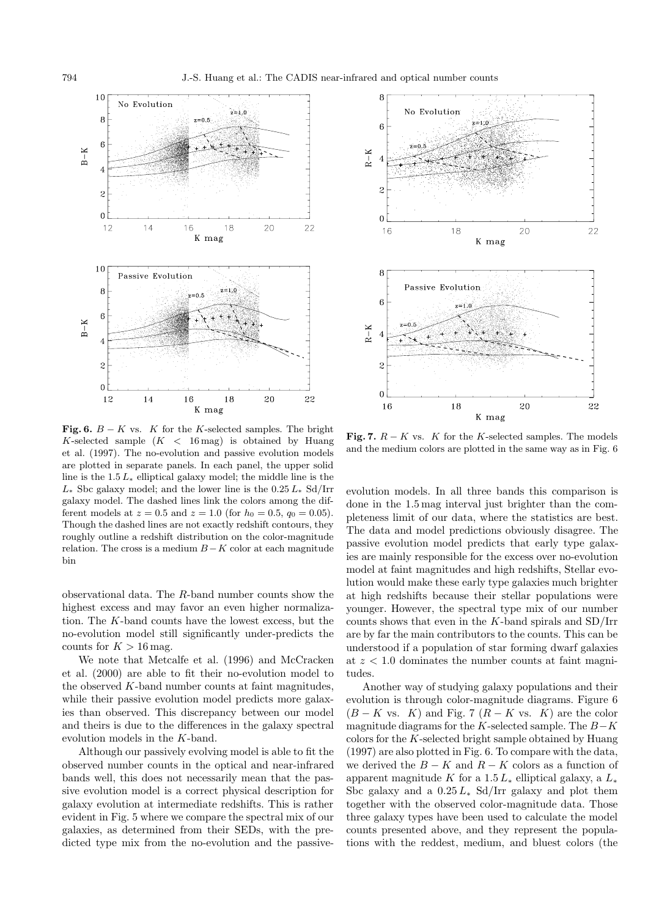

**Fig. 6.**  $B - K$  vs. K for the K-selected samples. The bright K-selected sample  $(K < 16 \text{ mag})$  is obtained by Huang et al. (1997). The no-evolution and passive evolution models are plotted in separate panels. In each panel, the upper solid line is the  $1.5 L_*$  elliptical galaxy model; the middle line is the  $L_{\ast}$  Sbc galaxy model; and the lower line is the 0.25  $L_{\ast}$  Sd/Irr galaxy model. The dashed lines link the colors among the different models at  $z = 0.5$  and  $z = 1.0$  (for  $h_0 = 0.5$ ,  $q_0 = 0.05$ ). Though the dashed lines are not exactly redshift contours, they roughly outline a redshift distribution on the color-magnitude relation. The cross is a medium  $B-K$  color at each magnitude bin

observational data. The R-band number counts show the highest excess and may favor an even higher normalization. The K-band counts have the lowest excess, but the no-evolution model still significantly under-predicts the counts for  $K > 16$  mag.

We note that Metcalfe et al. (1996) and McCracken et al. (2000) are able to fit their no-evolution model to the observed  $K$ -band number counts at faint magnitudes, while their passive evolution model predicts more galaxies than observed. This discrepancy between our model and theirs is due to the differences in the galaxy spectral evolution models in the K-band.

Although our passively evolving model is able to fit the observed number counts in the optical and near-infrared bands well, this does not necessarily mean that the passive evolution model is a correct physical description for galaxy evolution at intermediate redshifts. This is rather evident in Fig. 5 where we compare the spectral mix of our galaxies, as determined from their SEDs, with the predicted type mix from the no-evolution and the passive-



**Fig. 7.**  $R - K$  vs. K for the K-selected samples. The models and the medium colors are plotted in the same way as in Fig. 6

evolution models. In all three bands this comparison is done in the 1.5 mag interval just brighter than the completeness limit of our data, where the statistics are best. The data and model predictions obviously disagree. The passive evolution model predicts that early type galaxies are mainly responsible for the excess over no-evolution model at faint magnitudes and high redshifts, Stellar evolution would make these early type galaxies much brighter at high redshifts because their stellar populations were younger. However, the spectral type mix of our number counts shows that even in the K-band spirals and  $SD/Irr$ are by far the main contributors to the counts. This can be understood if a population of star forming dwarf galaxies at  $z < 1.0$  dominates the number counts at faint magnitudes.

Another way of studying galaxy populations and their evolution is through color-magnitude diagrams. Figure 6  $(B - K \text{ vs. } K)$  and Fig. 7  $(R - K \text{ vs. } K)$  are the color magnitude diagrams for the K-selected sample. The  $B-K$ colors for the K-selected bright sample obtained by Huang (1997) are also plotted in Fig. 6. To compare with the data, we derived the  $B - K$  and  $R - K$  colors as a function of apparent magnitude K for a  $1.5 L_*$  elliptical galaxy, a  $L_*$ Sbc galaxy and a  $0.25 L_*$  Sd/Irr galaxy and plot them together with the observed color-magnitude data. Those three galaxy types have been used to calculate the model counts presented above, and they represent the populations with the reddest, medium, and bluest colors (the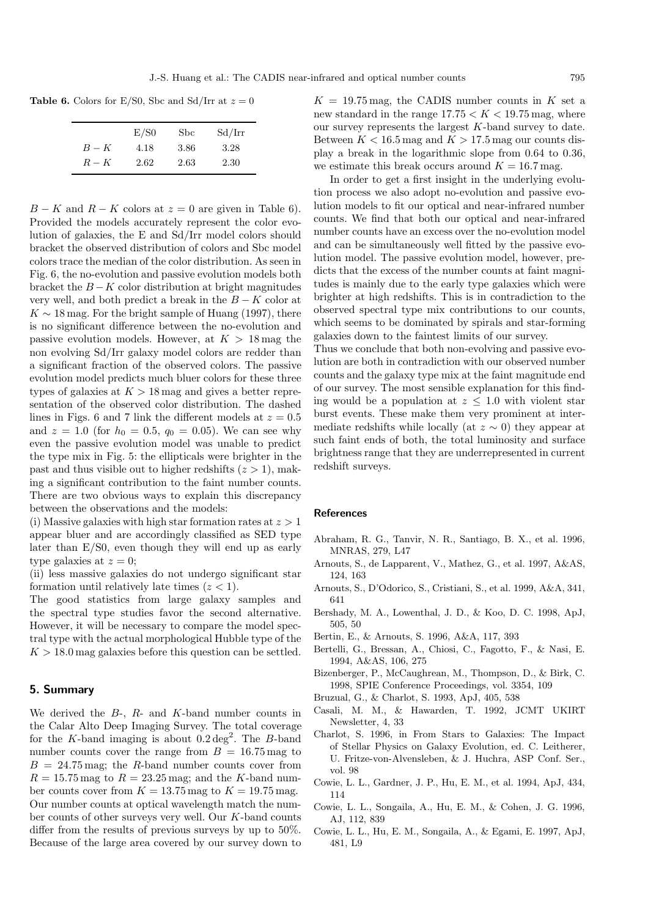**Table 6.** Colors for E/S0, Sbc and Sd/Irr at  $z = 0$ 

|       | E/S0 | Sbc  | Sd/Irr |
|-------|------|------|--------|
| $B-K$ | 4.18 | 3.86 | 3.28   |
| $R-K$ | 2.62 | 2.63 | 2.30   |

 $B - K$  and  $R - K$  colors at  $z = 0$  are given in Table 6). Provided the models accurately represent the color evolution of galaxies, the E and Sd/Irr model colors should bracket the observed distribution of colors and Sbc model colors trace the median of the color distribution. As seen in Fig. 6, the no-evolution and passive evolution models both bracket the  $B - K$  color distribution at bright magnitudes very well, and both predict a break in the  $B - K$  color at  $K \sim 18$  mag. For the bright sample of Huang (1997), there is no significant difference between the no-evolution and passive evolution models. However, at  $K > 18$  mag the non evolving Sd/Irr galaxy model colors are redder than a significant fraction of the observed colors. The passive evolution model predicts much bluer colors for these three types of galaxies at  $K > 18$  mag and gives a better representation of the observed color distribution. The dashed lines in Figs. 6 and 7 link the different models at  $z = 0.5$ and  $z = 1.0$  (for  $h_0 = 0.5$ ,  $q_0 = 0.05$ ). We can see why even the passive evolution model was unable to predict the type mix in Fig. 5: the ellipticals were brighter in the past and thus visible out to higher redshifts  $(z > 1)$ , making a significant contribution to the faint number counts. There are two obvious ways to explain this discrepancy between the observations and the models:

(i) Massive galaxies with high star formation rates at  $z > 1$ appear bluer and are accordingly classified as SED type later than E/S0, even though they will end up as early type galaxies at  $z = 0$ ;

(ii) less massive galaxies do not undergo significant star formation until relatively late times  $(z < 1)$ .

The good statistics from large galaxy samples and the spectral type studies favor the second alternative. However, it will be necessary to compare the model spectral type with the actual morphological Hubble type of the  $K > 18.0$  mag galaxies before this question can be settled.

# **5. Summary**

We derived the  $B$ -,  $R$ - and  $K$ -band number counts in the Calar Alto Deep Imaging Survey. The total coverage for the K-band imaging is about  $0.2 \deg^2$ . The B-band number counts cover the range from  $B = 16.75$  mag to  $B = 24.75 \,\text{mag}$ ; the R-band number counts cover from  $R = 15.75$  mag to  $R = 23.25$  mag; and the K-band number counts cover from  $K = 13.75$  mag to  $K = 19.75$  mag. Our number counts at optical wavelength match the number counts of other surveys very well. Our K-band counts differ from the results of previous surveys by up to 50%. Because of the large area covered by our survey down to  $K = 19.75$  mag, the CADIS number counts in K set a new standard in the range  $17.75 < K < 19.75$  mag, where our survey represents the largest  $K$ -band survey to date. Between  $K < 16.5$  mag and  $K > 17.5$  mag our counts display a break in the logarithmic slope from 0.64 to 0.36, we estimate this break occurs around  $K = 16.7$  mag.

In order to get a first insight in the underlying evolution process we also adopt no-evolution and passive evolution models to fit our optical and near-infrared number counts. We find that both our optical and near-infrared number counts have an excess over the no-evolution model and can be simultaneously well fitted by the passive evolution model. The passive evolution model, however, predicts that the excess of the number counts at faint magnitudes is mainly due to the early type galaxies which were brighter at high redshifts. This is in contradiction to the observed spectral type mix contributions to our counts, which seems to be dominated by spirals and star-forming galaxies down to the faintest limits of our survey.

Thus we conclude that both non-evolving and passive evolution are both in contradiction with our observed number counts and the galaxy type mix at the faint magnitude end of our survey. The most sensible explanation for this finding would be a population at  $z \leq 1.0$  with violent star burst events. These make them very prominent at intermediate redshifts while locally (at  $z \sim 0$ ) they appear at such faint ends of both, the total luminosity and surface brightness range that they are underrepresented in current redshift surveys.

#### **References**

- Abraham, R. G., Tanvir, N. R., Santiago, B. X., et al. 1996, MNRAS, 279, L47
- Arnouts, S., de Lapparent, V., Mathez, G., et al. 1997, A&AS, 124, 163
- Arnouts, S., D'Odorico, S., Cristiani, S., et al. 1999, A&A, 341, 641
- Bershady, M. A., Lowenthal, J. D., & Koo, D. C. 1998, ApJ, 505, 50
- Bertin, E., & Arnouts, S. 1996, A&A, 117, 393
- Bertelli, G., Bressan, A., Chiosi, C., Fagotto, F., & Nasi, E. 1994, A&AS, 106, 275
- Bizenberger, P., McCaughrean, M., Thompson, D., & Birk, C. 1998, SPIE Conference Proceedings, vol. 3354, 109
- Bruzual, G., & Charlot, S. 1993, ApJ, 405, 538
- Casali, M. M., & Hawarden, T. 1992, JCMT UKIRT Newsletter, 4, 33
- Charlot, S. 1996, in From Stars to Galaxies: The Impact of Stellar Physics on Galaxy Evolution, ed. C. Leitherer, U. Fritze-von-Alvensleben, & J. Huchra, ASP Conf. Ser., vol. 98
- Cowie, L. L., Gardner, J. P., Hu, E. M., et al. 1994, ApJ, 434, 114
- Cowie, L. L., Songaila, A., Hu, E. M., & Cohen, J. G. 1996, AJ, 112, 839
- Cowie, L. L., Hu, E. M., Songaila, A., & Egami, E. 1997, ApJ, 481, L9